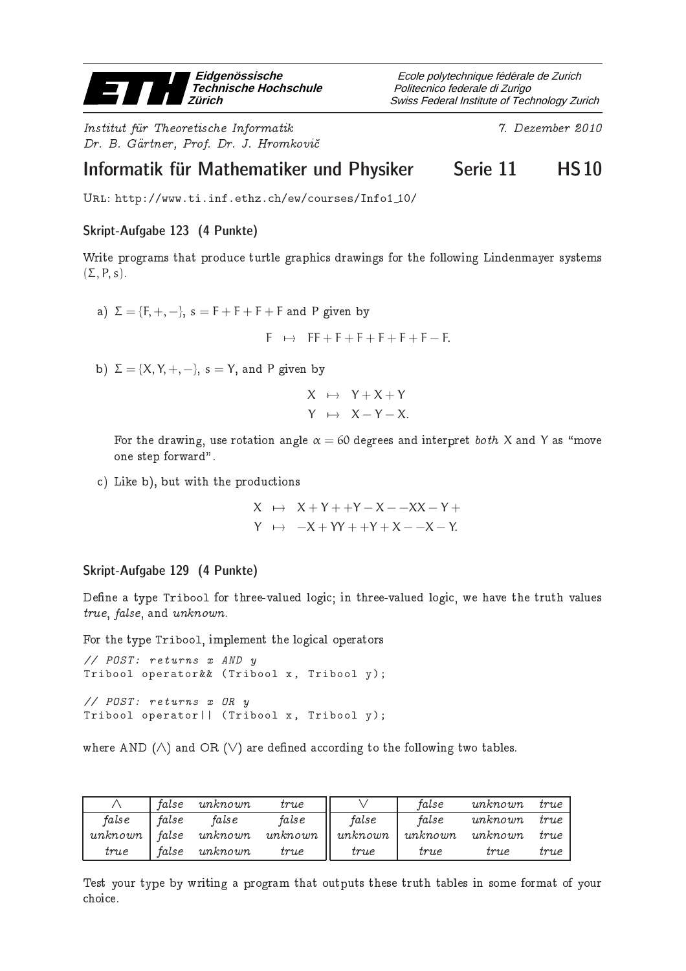

Institut fur Theoretis
he Informatik 7. Dezember <sup>2010</sup> Dr. B. Gartner, Prof. Dr. J. Hromkovi

Swiss Federal Institute of Technology Zurich Politecnico federale di Zurigo Ecole polytechnique fédérale de Zurich

## Informatik für Mathematiker und Physiker Serie 11 EIS10

Url: http://www.ti.inf.ethz.ch/ew/courses/Info1 10/

## Skript-Aufgabe 123 (4 Punkte)

Write programs that produ
e turtle graphi
s drawings for the following Lindenmayer systems  $(\Sigma, P, s)$ .

a)  $\Sigma = \{F, +, -\}, s = F + F + F + F$  and P given by

 $F \rightarrow FF + F + F + F + F + F - F$ 

b)  $\Sigma = \{X, Y, +, -\}, s = Y$ , and P given by

$$
X \rightarrow Y+X+Y
$$

$$
Y \rightarrow X-Y-X.
$$

For the drawing, use rotation angle  $\alpha = 60$  degrees and interpret both X and Y as "move one step forward".

c) Like b), but with the productions

$$
X \rightarrow X+Y++Y-X--XX-Y+\nY \rightarrow -X+YY++Y+X--X-Y.
$$

## Skript-Aufgabe 129 (4 Punkte)

Define a type Tribool for three-valued logic; in three-valued logic, we have the truth values true, false, and unknown.

For the type Tribool, implement the logical operators

// POST: returns x AND y Tribool operator && (Tribool x, Tribool y); // POST : returns x OR y

Tribool operator|| (Tribool x, Tribool y);

where AND  $(\wedge)$  and OR  $(\vee)$  are defined according to the following two tables.

|         | false | unknown | true    |         | taise   | unknown | true |
|---------|-------|---------|---------|---------|---------|---------|------|
| false   | false | false   | false   | false   | false   | unknown | true |
| unknown | false | unknown | unknown | ипкпошп | unknown | unknown | true |
| true    | false | unknown | true    | true    | true    | true    | true |

Test your type by writing a program that outputs these truth tables in some format of your hoi
e.